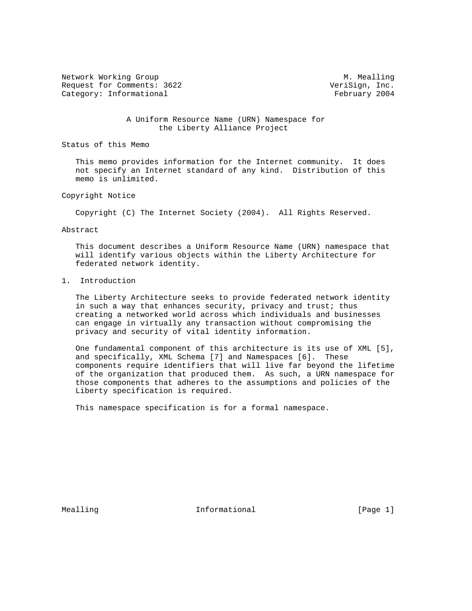Network Working Group and Month Communications of M. Mealling Request for Comments: 3622 VeriSign, Inc. Category: Informational example of the Category: The Category: The Category: The Category: The Category: The Category: The Category: The Category: The Category: The Category: The Category: The Category: The Category: The C

 A Uniform Resource Name (URN) Namespace for the Liberty Alliance Project

Status of this Memo

 This memo provides information for the Internet community. It does not specify an Internet standard of any kind. Distribution of this memo is unlimited.

Copyright Notice

Copyright (C) The Internet Society (2004). All Rights Reserved.

Abstract

 This document describes a Uniform Resource Name (URN) namespace that will identify various objects within the Liberty Architecture for federated network identity.

## 1. Introduction

 The Liberty Architecture seeks to provide federated network identity in such a way that enhances security, privacy and trust; thus creating a networked world across which individuals and businesses can engage in virtually any transaction without compromising the privacy and security of vital identity information.

 One fundamental component of this architecture is its use of XML [5], and specifically, XML Schema [7] and Namespaces [6]. These components require identifiers that will live far beyond the lifetime of the organization that produced them. As such, a URN namespace for those components that adheres to the assumptions and policies of the Liberty specification is required.

This namespace specification is for a formal namespace.

Mealling **Informational Informational** [Page 1]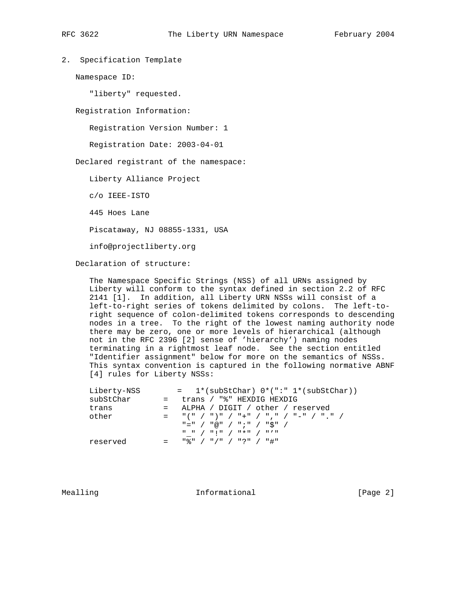2. Specification Template

Namespace ID:

"liberty" requested.

Registration Information:

Registration Version Number: 1

Registration Date: 2003-04-01

Declared registrant of the namespace:

Liberty Alliance Project

c/o IEEE-ISTO

445 Hoes Lane

Piscataway, NJ 08855-1331, USA

info@projectliberty.org

Declaration of structure:

 The Namespace Specific Strings (NSS) of all URNs assigned by Liberty will conform to the syntax defined in section 2.2 of RFC 2141 [1]. In addition, all Liberty URN NSSs will consist of a left-to-right series of tokens delimited by colons. The left-to right sequence of colon-delimited tokens corresponds to descending nodes in a tree. To the right of the lowest naming authority node there may be zero, one or more levels of hierarchical (although not in the RFC 2396 [2] sense of 'hierarchy') naming nodes terminating in a rightmost leaf node. See the section entitled "Identifier assignment" below for more on the semantics of NSSs. This syntax convention is captured in the following normative ABNF [4] rules for Liberty NSSs:

| Liberty-NSS | $= 1*(subStChar) 0*(":" 1*(subStChar))$                                                                                                                                                                                                                                                                                   |
|-------------|---------------------------------------------------------------------------------------------------------------------------------------------------------------------------------------------------------------------------------------------------------------------------------------------------------------------------|
| subStChar   | = trans / "%" HEXDIG HEXDIG                                                                                                                                                                                                                                                                                               |
| trans       | = ALPHA / DIGIT / other / reserved                                                                                                                                                                                                                                                                                        |
| other       | $=$ $\frac{1}{2}$ $\left(\frac{1}{2}$ $\frac{1}{2}$ $\frac{1}{2}$ $\frac{1}{2}$ $\frac{1}{2}$ $\frac{1}{2}$ $\frac{1}{2}$ $\frac{1}{2}$ $\frac{1}{2}$ $\frac{1}{2}$ $\frac{1}{2}$ $\frac{1}{2}$ $\frac{1}{2}$ $\frac{1}{2}$ $\frac{1}{2}$ $\frac{1}{2}$ $\frac{1}{2}$ $\frac{1}{2}$ $\frac{1}{2}$ $\frac{1}{2}$ $\frac{1$ |
|             | "=" / "@" / ";" / "\$" /                                                                                                                                                                                                                                                                                                  |
|             | "" / "!" / "*" / "'"                                                                                                                                                                                                                                                                                                      |
| reserved    | " ♀ "  /  " / "  /  " ? "  /  " # "                                                                                                                                                                                                                                                                                       |

Mealling 10 and 10 millional 11 million in the UP of the Mean of the Mean of the Mean of the Informational 10 million in the UP of the Mean of the Mean of the Mean of the Mean of the Mean of the Mean of the Mean of the Mea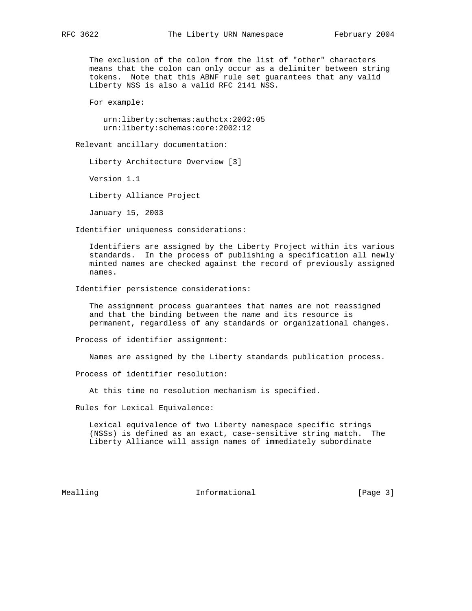The exclusion of the colon from the list of "other" characters means that the colon can only occur as a delimiter between string tokens. Note that this ABNF rule set guarantees that any valid Liberty NSS is also a valid RFC 2141 NSS.

For example:

 urn:liberty:schemas:authctx:2002:05 urn:liberty:schemas:core:2002:12

Relevant ancillary documentation:

Liberty Architecture Overview [3]

Version 1.1

Liberty Alliance Project

January 15, 2003

Identifier uniqueness considerations:

 Identifiers are assigned by the Liberty Project within its various standards. In the process of publishing a specification all newly minted names are checked against the record of previously assigned names.

Identifier persistence considerations:

 The assignment process guarantees that names are not reassigned and that the binding between the name and its resource is permanent, regardless of any standards or organizational changes.

Process of identifier assignment:

Names are assigned by the Liberty standards publication process.

Process of identifier resolution:

At this time no resolution mechanism is specified.

Rules for Lexical Equivalence:

 Lexical equivalence of two Liberty namespace specific strings (NSSs) is defined as an exact, case-sensitive string match. The Liberty Alliance will assign names of immediately subordinate

Mealling 10 and 10 minutional 11 minutional [Page 3]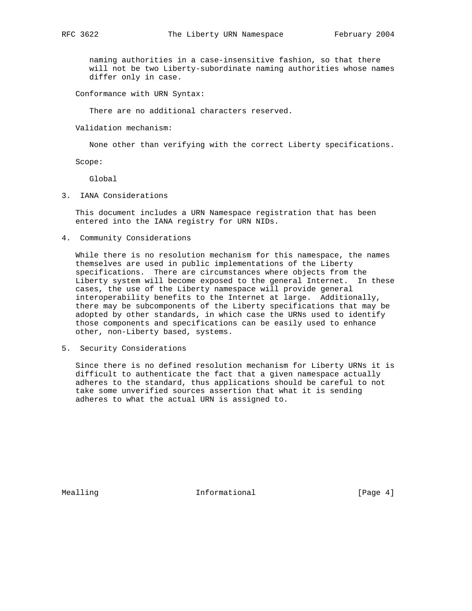naming authorities in a case-insensitive fashion, so that there will not be two Liberty-subordinate naming authorities whose names differ only in case.

Conformance with URN Syntax:

There are no additional characters reserved.

Validation mechanism:

None other than verifying with the correct Liberty specifications.

Scope:

Global

3. IANA Considerations

 This document includes a URN Namespace registration that has been entered into the IANA registry for URN NIDs.

4. Community Considerations

 While there is no resolution mechanism for this namespace, the names themselves are used in public implementations of the Liberty specifications. There are circumstances where objects from the Liberty system will become exposed to the general Internet. In these cases, the use of the Liberty namespace will provide general interoperability benefits to the Internet at large. Additionally, there may be subcomponents of the Liberty specifications that may be adopted by other standards, in which case the URNs used to identify those components and specifications can be easily used to enhance other, non-Liberty based, systems.

5. Security Considerations

 Since there is no defined resolution mechanism for Liberty URNs it is difficult to authenticate the fact that a given namespace actually adheres to the standard, thus applications should be careful to not take some unverified sources assertion that what it is sending adheres to what the actual URN is assigned to.

Mealling **Informational Informational** [Page 4]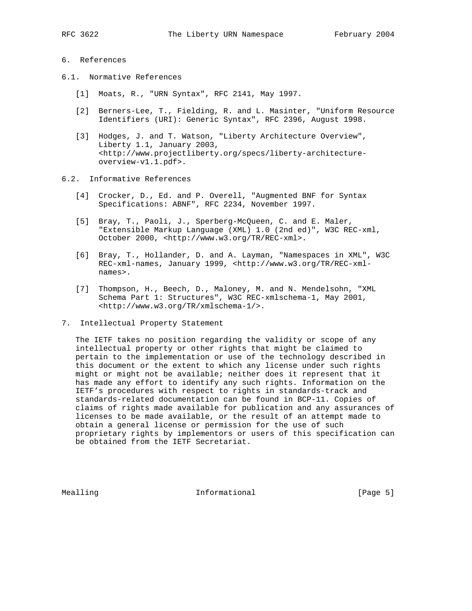#### 6. References

- 6.1. Normative References
	- [1] Moats, R., "URN Syntax", RFC 2141, May 1997.
	- [2] Berners-Lee, T., Fielding, R. and L. Masinter, "Uniform Resource Identifiers (URI): Generic Syntax", RFC 2396, August 1998.
	- [3] Hodges, J. and T. Watson, "Liberty Architecture Overview", Liberty 1.1, January 2003, <http://www.projectliberty.org/specs/liberty-architecture overview-v1.1.pdf>.

#### 6.2. Informative References

- [4] Crocker, D., Ed. and P. Overell, "Augmented BNF for Syntax Specifications: ABNF", RFC 2234, November 1997.
- [5] Bray, T., Paoli, J., Sperberg-McQueen, C. and E. Maler, "Extensible Markup Language (XML) 1.0 (2nd ed)", W3C REC-xml, October 2000, <http://www.w3.org/TR/REC-xml>.
- [6] Bray, T., Hollander, D. and A. Layman, "Namespaces in XML", W3C REC-xml-names, January 1999, <http://www.w3.org/TR/REC-xml names>.
- [7] Thompson, H., Beech, D., Maloney, M. and N. Mendelsohn, "XML Schema Part 1: Structures", W3C REC-xmlschema-1, May 2001, <http://www.w3.org/TR/xmlschema-1/>.
- 7. Intellectual Property Statement

 The IETF takes no position regarding the validity or scope of any intellectual property or other rights that might be claimed to pertain to the implementation or use of the technology described in this document or the extent to which any license under such rights might or might not be available; neither does it represent that it has made any effort to identify any such rights. Information on the IETF's procedures with respect to rights in standards-track and standards-related documentation can be found in BCP-11. Copies of claims of rights made available for publication and any assurances of licenses to be made available, or the result of an attempt made to obtain a general license or permission for the use of such proprietary rights by implementors or users of this specification can be obtained from the IETF Secretariat.

Mealling 10 and 10 millional 11 million of the UP (Page 5)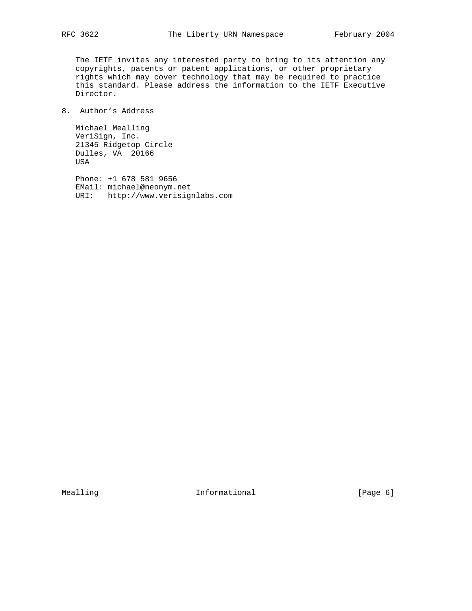The IETF invites any interested party to bring to its attention any copyrights, patents or patent applications, or other proprietary rights which may cover technology that may be required to practice this standard. Please address the information to the IETF Executive Director.

# 8. Author's Address

 Michael Mealling VeriSign, Inc. 21345 Ridgetop Circle Dulles, VA 20166 USA

 Phone: +1 678 581 9656 EMail: michael@neonym.net URI: http://www.verisignlabs.com

Mealling 10 Informational 10 Informational [Page 6]